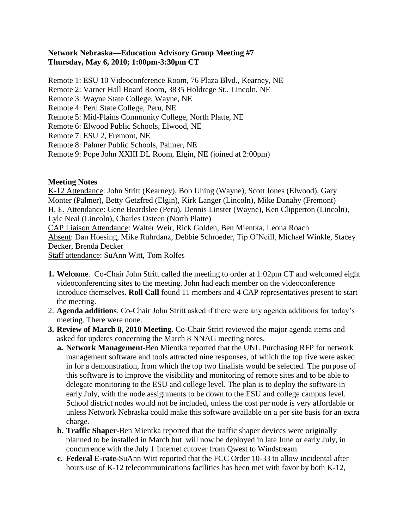## **Network Nebraska—Education Advisory Group Meeting #7 Thursday, May 6, 2010; 1:00pm-3:30pm CT**

Remote 1: ESU 10 Videoconference Room, 76 Plaza Blvd., Kearney, NE

Remote 2: Varner Hall Board Room, 3835 Holdrege St., Lincoln, NE

Remote 3: Wayne State College, Wayne, NE

Remote 4: Peru State College, Peru, NE

Remote 5: Mid-Plains Community College, North Platte, NE

Remote 6: Elwood Public Schools, Elwood, NE

- Remote 7: ESU 2, Fremont, NE
- Remote 8: Palmer Public Schools, Palmer, NE

Remote 9: Pope John XXIII DL Room, Elgin, NE (joined at 2:00pm)

## **Meeting Notes**

K-12 Attendance: John Stritt (Kearney), Bob Uhing (Wayne), Scott Jones (Elwood), Gary Monter (Palmer), Betty Getzfred (Elgin), Kirk Langer (Lincoln), Mike Danahy (Fremont) H. E. Attendance: Gene Beardslee (Peru), Dennis Linster (Wayne), Ken Clipperton (Lincoln), Lyle Neal (Lincoln), Charles Osteen (North Platte) CAP Liaison Attendance: Walter Weir, Rick Golden, Ben Mientka, Leona Roach Absent: Dan Hoesing, Mike Ruhrdanz, Debbie Schroeder, Tip O'Neill, Michael Winkle, Stacey Decker, Brenda Decker

Staff attendance: SuAnn Witt, Tom Rolfes

- **1. Welcome**. Co-Chair John Stritt called the meeting to order at 1:02pm CT and welcomed eight videoconferencing sites to the meeting. John had each member on the videoconference introduce themselves. **Roll Call** found 11 members and 4 CAP representatives present to start the meeting.
- 2. **Agenda additions**. Co-Chair John Stritt asked if there were any agenda additions for today's meeting. There were none.
- **3. Review of March 8, 2010 Meeting**. Co-Chair Stritt reviewed the major agenda items and asked for updates concerning the March 8 NNAG meeting notes.
	- **a. Network Management-**Ben Mientka reported that the UNL Purchasing RFP for network management software and tools attracted nine responses, of which the top five were asked in for a demonstration, from which the top two finalists would be selected. The purpose of this software is to improve the visibility and monitoring of remote sites and to be able to delegate monitoring to the ESU and college level. The plan is to deploy the software in early July, with the node assignments to be down to the ESU and college campus level. School district nodes would not be included, unless the cost per node is very affordable or unless Network Nebraska could make this software available on a per site basis for an extra charge.
	- **b. Traffic Shaper-**Ben Mientka reported that the traffic shaper devices were originally planned to be installed in March but will now be deployed in late June or early July, in concurrence with the July 1 Internet cutover from Qwest to Windstream.
	- **c. Federal E-rate-**SuAnn Witt reported that the FCC Order 10-33 to allow incidental after hours use of K-12 telecommunications facilities has been met with favor by both K-12,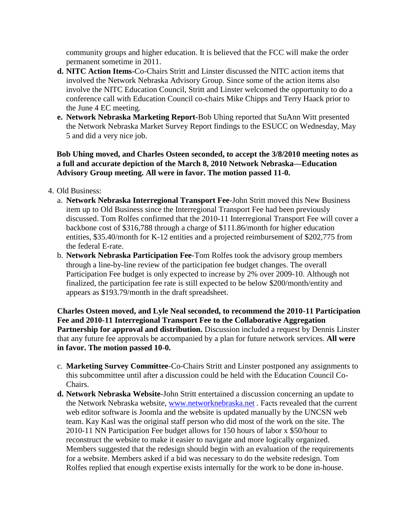community groups and higher education. It is believed that the FCC will make the order permanent sometime in 2011.

- **d. NITC Action Items-**Co-Chairs Stritt and Linster discussed the NITC action items that involved the Network Nebraska Advisory Group. Since some of the action items also involve the NITC Education Council, Stritt and Linster welcomed the opportunity to do a conference call with Education Council co-chairs Mike Chipps and Terry Haack prior to the June 4 EC meeting.
- **e. Network Nebraska Marketing Report-**Bob Uhing reported that SuAnn Witt presented the Network Nebraska Market Survey Report findings to the ESUCC on Wednesday, May 5 and did a very nice job.

**Bob Uhing moved, and Charles Osteen seconded, to accept the 3/8/2010 meeting notes as a full and accurate depiction of the March 8, 2010 Network Nebraska—Education Advisory Group meeting. All were in favor. The motion passed 11-0.** 

## 4. Old Business:

- a. **Network Nebraska Interregional Transport Fee**-John Stritt moved this New Business item up to Old Business since the Interregional Transport Fee had been previously discussed. Tom Rolfes confirmed that the 2010-11 Interregional Transport Fee will cover a backbone cost of \$316,788 through a charge of \$111.86/month for higher education entities, \$35.40/month for K-12 entities and a projected reimbursement of \$202,775 from the federal E-rate.
- b. **Network Nebraska Participation Fee**-Tom Rolfes took the advisory group members through a line-by-line review of the participation fee budget changes. The overall Participation Fee budget is only expected to increase by 2% over 2009-10. Although not finalized, the participation fee rate is still expected to be below \$200/month/entity and appears as \$193.79/month in the draft spreadsheet.

**Charles Osteen moved, and Lyle Neal seconded, to recommend the 2010-11 Participation Fee and 2010-11 Interregional Transport Fee to the Collaborative Aggregation**  Partnership for approval and distribution. Discussion included a request by Dennis Linster that any future fee approvals be accompanied by a plan for future network services. **All were in favor. The motion passed 10-0.**

- c. **Marketing Survey Committee**-Co-Chairs Stritt and Linster postponed any assignments to this subcommittee until after a discussion could be held with the Education Council Co-Chairs.
- **d. Network Nebraska Website**-John Stritt entertained a discussion concerning an update to the Network Nebraska website, [www.networknebraska.net](http://www.networknebraska.net/) . Facts revealed that the current web editor software is Joomla and the website is updated manually by the UNCSN web team. Kay Kasl was the original staff person who did most of the work on the site. The 2010-11 NN Participation Fee budget allows for 150 hours of labor x \$50/hour to reconstruct the website to make it easier to navigate and more logically organized. Members suggested that the redesign should begin with an evaluation of the requirements for a website. Members asked if a bid was necessary to do the website redesign. Tom Rolfes replied that enough expertise exists internally for the work to be done in-house.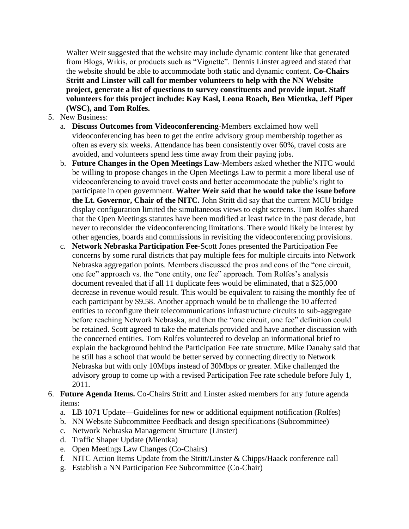Walter Weir suggested that the website may include dynamic content like that generated from Blogs, Wikis, or products such as "Vignette". Dennis Linster agreed and stated that the website should be able to accommodate both static and dynamic content. **Co-Chairs Stritt and Linster will call for member volunteers to help with the NN Website project, generate a list of questions to survey constituents and provide input. Staff volunteers for this project include: Kay Kasl, Leona Roach, Ben Mientka, Jeff Piper (WSC), and Tom Rolfes.**

- 5. New Business:
	- a. **Discuss Outcomes from Videoconferencing**-Members exclaimed how well videoconferencing has been to get the entire advisory group membership together as often as every six weeks. Attendance has been consistently over 60%, travel costs are avoided, and volunteers spend less time away from their paying jobs.
	- b. **Future Changes in the Open Meetings Law**-Members asked whether the NITC would be willing to propose changes in the Open Meetings Law to permit a more liberal use of videoconferencing to avoid travel costs and better accommodate the public's right to participate in open government. **Walter Weir said that he would take the issue before the Lt. Governor, Chair of the NITC.** John Stritt did say that the current MCU bridge display configuration limited the simultaneous views to eight screens. Tom Rolfes shared that the Open Meetings statutes have been modified at least twice in the past decade, but never to reconsider the videoconferencing limitations. There would likely be interest by other agencies, boards and commissions in revisiting the videoconferencing provisions.
	- c. **Network Nebraska Participation Fee**-Scott Jones presented the Participation Fee concerns by some rural districts that pay multiple fees for multiple circuits into Network Nebraska aggregation points. Members discussed the pros and cons of the "one circuit, one fee" approach vs. the "one entity, one fee" approach. Tom Rolfes's analysis document revealed that if all 11 duplicate fees would be eliminated, that a \$25,000 decrease in revenue would result. This would be equivalent to raising the monthly fee of each participant by \$9.58. Another approach would be to challenge the 10 affected entities to reconfigure their telecommunications infrastructure circuits to sub-aggregate before reaching Network Nebraska, and then the "one circuit, one fee" definition could be retained. Scott agreed to take the materials provided and have another discussion with the concerned entities. Tom Rolfes volunteered to develop an informational brief to explain the background behind the Participation Fee rate structure. Mike Danahy said that he still has a school that would be better served by connecting directly to Network Nebraska but with only 10Mbps instead of 30Mbps or greater. Mike challenged the advisory group to come up with a revised Participation Fee rate schedule before July 1, 2011.
- 6. **Future Agenda Items.** Co-Chairs Stritt and Linster asked members for any future agenda items:
	- a. LB 1071 Update—Guidelines for new or additional equipment notification (Rolfes)
	- b. NN Website Subcommittee Feedback and design specifications (Subcommittee)
	- c. Network Nebraska Management Structure (Linster)
	- d. Traffic Shaper Update (Mientka)
	- e. Open Meetings Law Changes (Co-Chairs)
	- f. NITC Action Items Update from the Stritt/Linster & Chipps/Haack conference call
	- g. Establish a NN Participation Fee Subcommittee (Co-Chair)